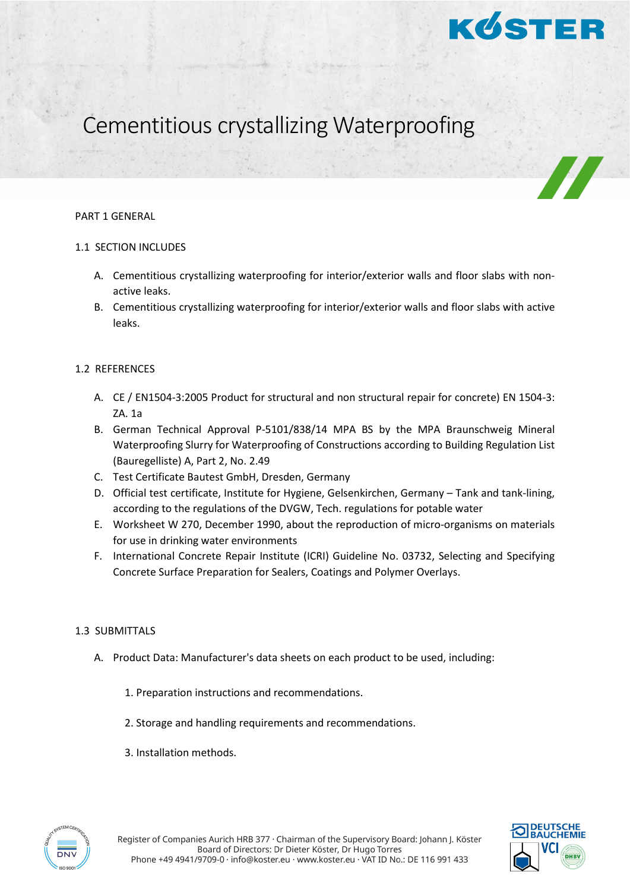

# Cementitious crystallizing Waterproofing

#### PART 1 GENERAL

# 1.1 SECTION INCLUDES

- A. Cementitious crystallizing waterproofing for interior/exterior walls and floor slabs with nonactive leaks.
- B. Cementitious crystallizing waterproofing for interior/exterior walls and floor slabs with active leaks.

# 1.2 REFERENCES

- A. CE / EN1504-3:2005 Product for structural and non structural repair for concrete) EN 1504-3: ZA. 1a
- B. German Technical Approval P-5101/838/14 MPA BS by the MPA Braunschweig Mineral Waterproofing Slurry for Waterproofing of Constructions according to Building Regulation List (Bauregelliste) A, Part 2, No. 2.49
- C. Test Certificate Bautest GmbH, Dresden, Germany
- D. Official test certificate, Institute for Hygiene, Gelsenkirchen, Germany Tank and tank-lining, according to the regulations of the DVGW, Tech. regulations for potable water
- E. Worksheet W 270, December 1990, about the reproduction of micro-organisms on materials for use in drinking water environments
- F. International Concrete Repair Institute (ICRI) Guideline No. 03732, Selecting and Specifying Concrete Surface Preparation for Sealers, Coatings and Polymer Overlays.

# 1.3 SUBMITTALS

- A. Product Data: Manufacturer's data sheets on each product to be used, including:
	- 1. Preparation instructions and recommendations.
	- 2. Storage and handling requirements and recommendations.
	- 3. Installation methods.

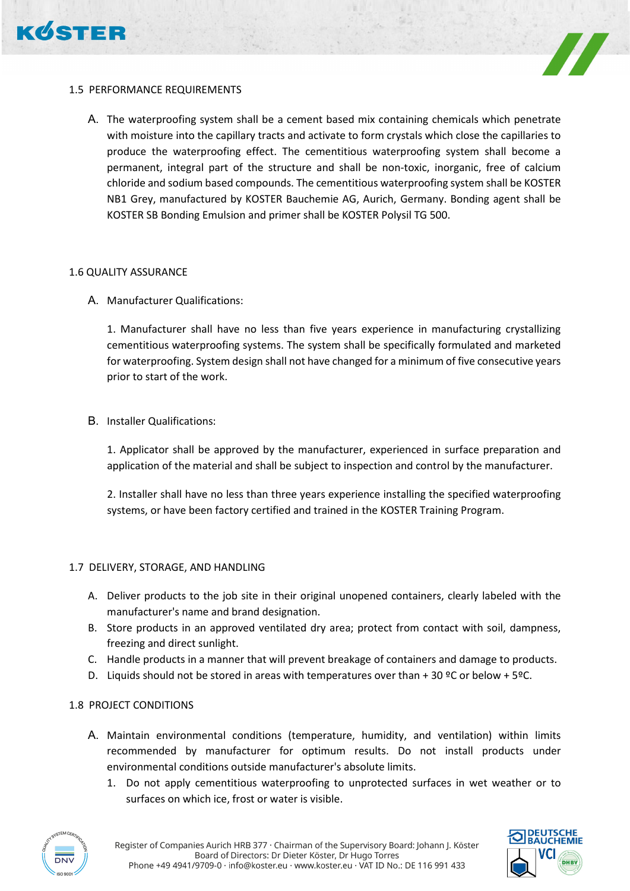



# 1.5 PERFORMANCE REQUIREMENTS

A. The waterproofing system shall be a cement based mix containing chemicals which penetrate with moisture into the capillary tracts and activate to form crystals which close the capillaries to produce the waterproofing effect. The cementitious waterproofing system shall become a permanent, integral part of the structure and shall be non-toxic, inorganic, free of calcium chloride and sodium based compounds. The cementitious waterproofing system shall be KOSTER NB1 Grey, manufactured by KOSTER Bauchemie AG, Aurich, Germany. Bonding agent shall be KOSTER SB Bonding Emulsion and primer shall be KOSTER Polysil TG 500.

#### 1.6 QUALITY ASSURANCE

A. Manufacturer Qualifications:

1. Manufacturer shall have no less than five years experience in manufacturing crystallizing cementitious waterproofing systems. The system shall be specifically formulated and marketed for waterproofing. System design shall not have changed for a minimum of five consecutive years prior to start of the work.

B. Installer Qualifications:

1. Applicator shall be approved by the manufacturer, experienced in surface preparation and application of the material and shall be subject to inspection and control by the manufacturer.

2. Installer shall have no less than three years experience installing the specified waterproofing systems, or have been factory certified and trained in the KOSTER Training Program.

#### 1.7 DELIVERY, STORAGE, AND HANDLING

- A. Deliver products to the job site in their original unopened containers, clearly labeled with the manufacturer's name and brand designation.
- B. Store products in an approved ventilated dry area; protect from contact with soil, dampness, freezing and direct sunlight.
- C. Handle products in a manner that will prevent breakage of containers and damage to products.
- D. Liquids should not be stored in areas with temperatures over than + 30 °C or below + 5°C.

#### 1.8 PROJECT CONDITIONS

- A. Maintain environmental conditions (temperature, humidity, and ventilation) within limits recommended by manufacturer for optimum results. Do not install products under environmental conditions outside manufacturer's absolute limits.
	- 1. Do not apply cementitious waterproofing to unprotected surfaces in wet weather or to surfaces on which ice, frost or water is visible.



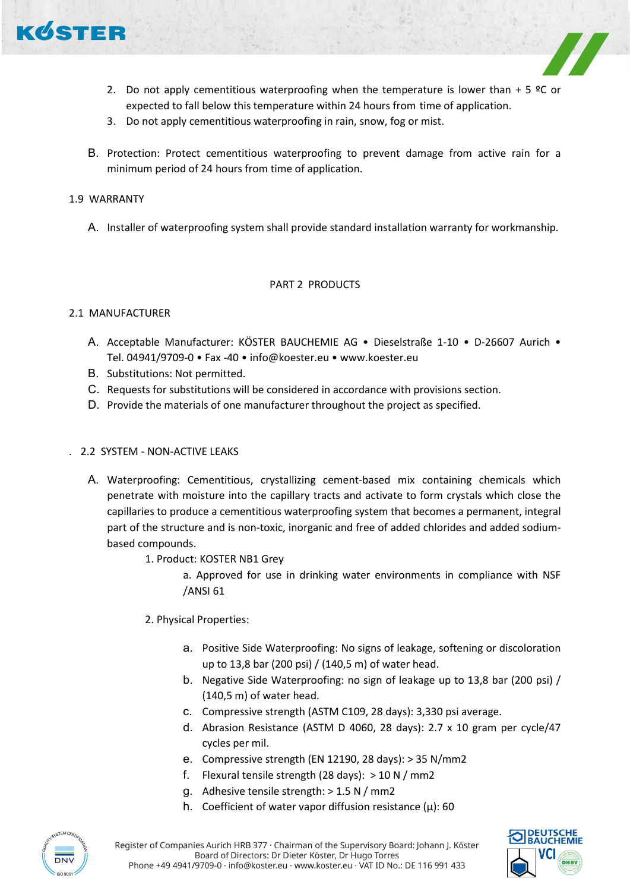

- 2. Do not apply cementitious waterproofing when the temperature is lower than  $+ 5 \degree$ C or expected to fall below this temperature within 24 hours from time of application.
- 3. Do not apply cementitious waterproofing in rain, snow, fog or mist.
- B. Protection: Protect cementitious waterproofing to prevent damage from active rain for a minimum period of 24 hours from time of application.

#### 1.9 WARRANTY

A. Installer of waterproofing system shall provide standard installation warranty for workmanship.

# PART 2 PRODUCTS

# 2.1 MANUFACTURER

- A. Acceptable Manufacturer: KÖSTER BAUCHEMIE AG Dieselstraße 1-10 D-26607 Aurich Tel. 04941/9709-0 • Fax -40 • info@koester.eu • www.koester.eu
- B. Substitutions: Not permitted.
- C. Requests for substitutions will be considered in accordance with provisions section.
- D. Provide the materials of one manufacturer throughout the project as specified.

#### . 2.2 SYSTEM - NON-ACTIVE LEAKS

- A. Waterproofing: Cementitious, crystallizing cement-based mix containing chemicals which penetrate with moisture into the capillary tracts and activate to form crystals which close the capillaries to produce a cementitious waterproofing system that becomes a permanent, integral part of the structure and is non-toxic, inorganic and free of added chlorides and added sodiumbased compounds.
	- 1. Product: KOSTER NB1 Grey

a. Approved for use in drinking water environments in compliance with NSF /ANSI 61

- 2. Physical Properties:
	- a. Positive Side Waterproofing: No signs of leakage, softening or discoloration up to 13,8 bar (200 psi) / (140,5 m) of water head.
	- b. Negative Side Waterproofing: no sign of leakage up to 13,8 bar (200 psi) / (140,5 m) of water head.
	- c. Compressive strength (ASTM C109, 28 days): 3,330 psi average.
	- d. Abrasion Resistance (ASTM D 4060, 28 days): 2.7 x 10 gram per cycle/47 cycles per mil.
	- e. Compressive strength (EN 12190, 28 days): > 35 N/mm2
	- f. Flexural tensile strength (28 days):  $> 10 N / mm2$
	- g. Adhesive tensile strength: > 1.5 N / mm2
	- h. Coefficient of water vapor diffusion resistance (μ): 60





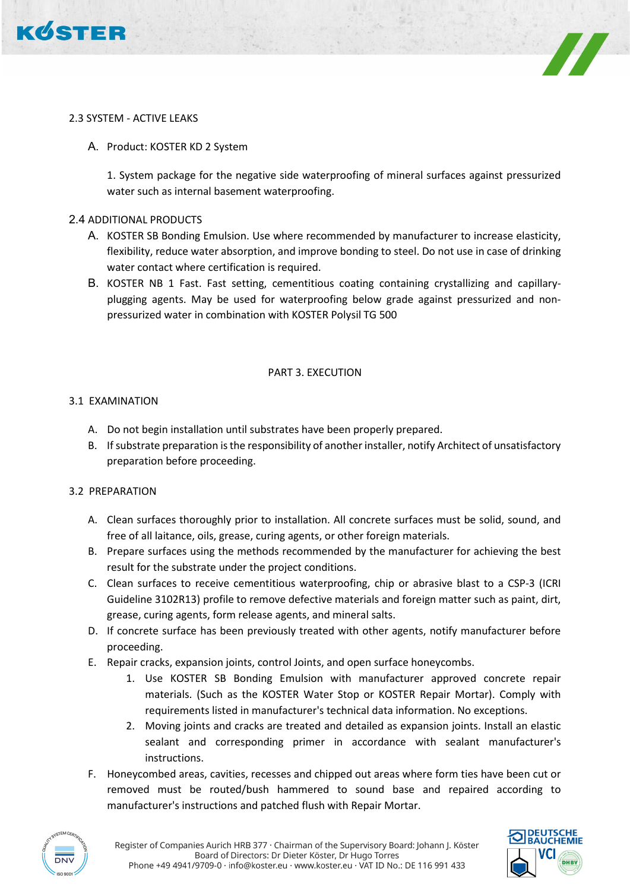



#### 2.3 SYSTEM - ACTIVE LEAKS

A. Product: KOSTER KD 2 System

1. System package for the negative side waterproofing of mineral surfaces against pressurized water such as internal basement waterproofing.

# 2.4 ADDITIONAL PRODUCTS

- A. KOSTER SB Bonding Emulsion. Use where recommended by manufacturer to increase elasticity, flexibility, reduce water absorption, and improve bonding to steel. Do not use in case of drinking water contact where certification is required.
- B. KOSTER NB 1 Fast. Fast setting, cementitious coating containing crystallizing and capillaryplugging agents. May be used for waterproofing below grade against pressurized and nonpressurized water in combination with KOSTER Polysil TG 500

#### PART 3. EXECUTION

# 3.1 EXAMINATION

- A. Do not begin installation until substrates have been properly prepared.
- B. If substrate preparation is the responsibility of another installer, notify Architect of unsatisfactory preparation before proceeding.

# 3.2 PREPARATION

- A. Clean surfaces thoroughly prior to installation. All concrete surfaces must be solid, sound, and free of all laitance, oils, grease, curing agents, or other foreign materials.
- B. Prepare surfaces using the methods recommended by the manufacturer for achieving the best result for the substrate under the project conditions.
- C. Clean surfaces to receive cementitious waterproofing, chip or abrasive blast to a CSP-3 (ICRI Guideline 3102R13) profile to remove defective materials and foreign matter such as paint, dirt, grease, curing agents, form release agents, and mineral salts.
- D. If concrete surface has been previously treated with other agents, notify manufacturer before proceeding.
- E. Repair cracks, expansion joints, control Joints, and open surface honeycombs.
	- 1. Use KOSTER SB Bonding Emulsion with manufacturer approved concrete repair materials. (Such as the KOSTER Water Stop or KOSTER Repair Mortar). Comply with requirements listed in manufacturer's technical data information. No exceptions.
	- 2. Moving joints and cracks are treated and detailed as expansion joints. Install an elastic sealant and corresponding primer in accordance with sealant manufacturer's instructions.
- F. Honeycombed areas, cavities, recesses and chipped out areas where form ties have been cut or removed must be routed/bush hammered to sound base and repaired according to manufacturer's instructions and patched flush with Repair Mortar.



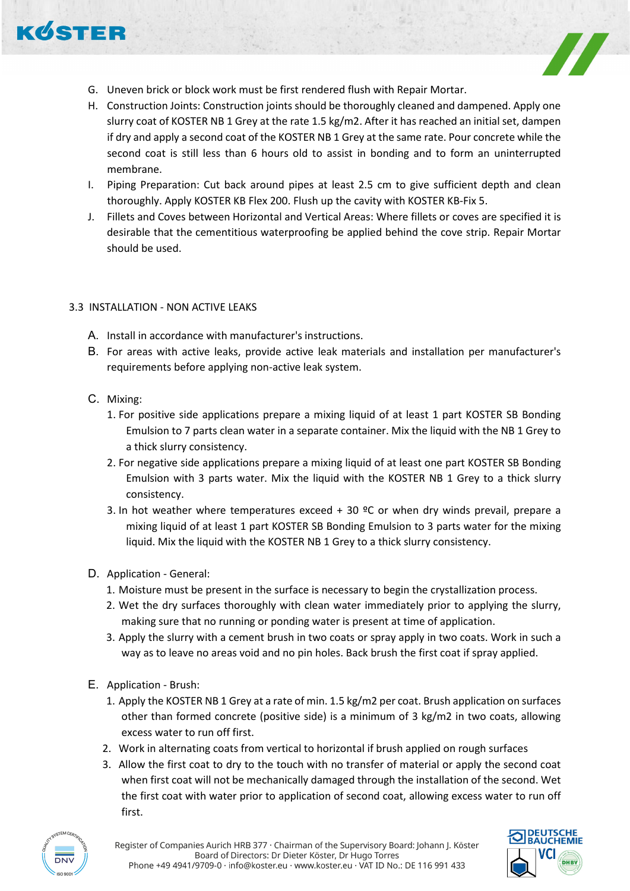



- G. Uneven brick or block work must be first rendered flush with Repair Mortar.
- H. Construction Joints: Construction joints should be thoroughly cleaned and dampened. Apply one slurry coat of KOSTER NB 1 Grey at the rate 1.5 kg/m2. After it has reached an initial set, dampen if dry and apply a second coat of the KOSTER NB 1 Grey at the same rate. Pour concrete while the second coat is still less than 6 hours old to assist in bonding and to form an uninterrupted membrane.
- I. Piping Preparation: Cut back around pipes at least 2.5 cm to give sufficient depth and clean thoroughly. Apply KOSTER KB Flex 200. Flush up the cavity with KOSTER KB-Fix 5.
- J. Fillets and Coves between Horizontal and Vertical Areas: Where fillets or coves are specified it is desirable that the cementitious waterproofing be applied behind the cove strip. Repair Mortar should be used.

# 3.3 INSTALLATION - NON ACTIVE LEAKS

- A. Install in accordance with manufacturer's instructions.
- B. For areas with active leaks, provide active leak materials and installation per manufacturer's requirements before applying non-active leak system.
- C. Mixing:
	- 1. For positive side applications prepare a mixing liquid of at least 1 part KOSTER SB Bonding Emulsion to 7 parts clean water in a separate container. Mix the liquid with the NB 1 Grey to a thick slurry consistency.
	- 2. For negative side applications prepare a mixing liquid of at least one part KOSTER SB Bonding Emulsion with 3 parts water. Mix the liquid with the KOSTER NB 1 Grey to a thick slurry consistency.
	- 3. In hot weather where temperatures exceed  $+$  30 °C or when dry winds prevail, prepare a mixing liquid of at least 1 part KOSTER SB Bonding Emulsion to 3 parts water for the mixing liquid. Mix the liquid with the KOSTER NB 1 Grey to a thick slurry consistency.
- D. Application General:
	- 1. Moisture must be present in the surface is necessary to begin the crystallization process.
	- 2. Wet the dry surfaces thoroughly with clean water immediately prior to applying the slurry, making sure that no running or ponding water is present at time of application.
	- 3. Apply the slurry with a cement brush in two coats or spray apply in two coats. Work in such a way as to leave no areas void and no pin holes. Back brush the first coat if spray applied.
- E. Application Brush:
	- 1. Apply the KOSTER NB 1 Grey at a rate of min. 1.5 kg/m2 per coat. Brush application on surfaces other than formed concrete (positive side) is a minimum of 3 kg/m2 in two coats, allowing excess water to run off first.
	- 2. Work in alternating coats from vertical to horizontal if brush applied on rough surfaces
	- 3. Allow the first coat to dry to the touch with no transfer of material or apply the second coat when first coat will not be mechanically damaged through the installation of the second. Wet the first coat with water prior to application of second coat, allowing excess water to run off first.



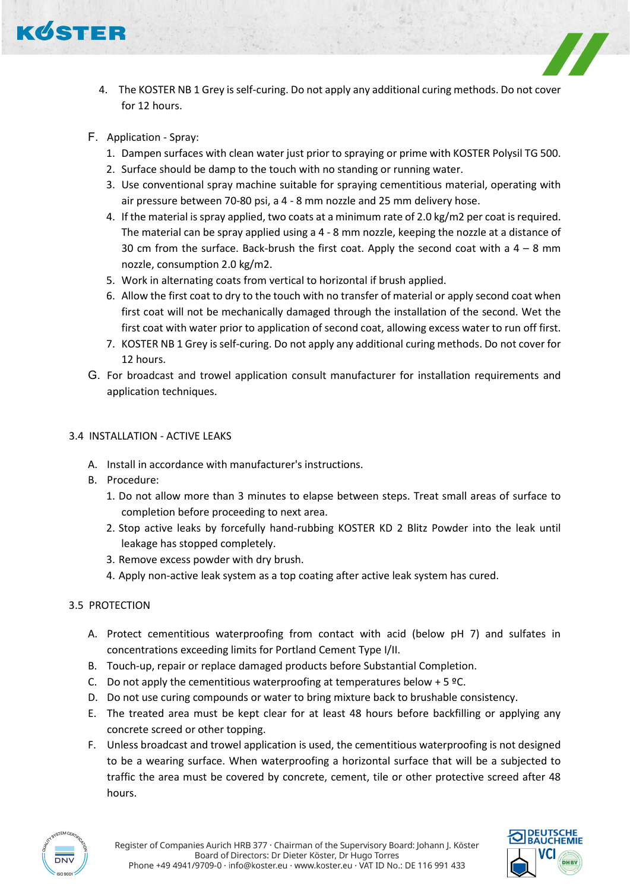

- 4. The KOSTER NB 1 Grey is self-curing. Do not apply any additional curing methods. Do not cover for 12 hours.
- F. Application Spray:
	- 1. Dampen surfaces with clean water just prior to spraying or prime with KOSTER Polysil TG 500.
	- 2. Surface should be damp to the touch with no standing or running water.
	- 3. Use conventional spray machine suitable for spraying cementitious material, operating with air pressure between 70-80 psi, a 4 - 8 mm nozzle and 25 mm delivery hose.
	- 4. If the material is spray applied, two coats at a minimum rate of 2.0 kg/m2 per coat is required. The material can be spray applied using a 4 - 8 mm nozzle, keeping the nozzle at a distance of 30 cm from the surface. Back-brush the first coat. Apply the second coat with a  $4 - 8$  mm nozzle, consumption 2.0 kg/m2.
	- 5. Work in alternating coats from vertical to horizontal if brush applied.
	- 6. Allow the first coat to dry to the touch with no transfer of material or apply second coat when first coat will not be mechanically damaged through the installation of the second. Wet the first coat with water prior to application of second coat, allowing excess water to run off first.
	- 7. KOSTER NB 1 Grey is self-curing. Do not apply any additional curing methods. Do not cover for 12 hours.
- G. For broadcast and trowel application consult manufacturer for installation requirements and application techniques.

# 3.4 INSTALLATION - ACTIVE LEAKS

- A. Install in accordance with manufacturer's instructions.
- B. Procedure:
	- 1. Do not allow more than 3 minutes to elapse between steps. Treat small areas of surface to completion before proceeding to next area.
	- 2. Stop active leaks by forcefully hand-rubbing KOSTER KD 2 Blitz Powder into the leak until leakage has stopped completely.
	- 3. Remove excess powder with dry brush.
	- 4. Apply non-active leak system as a top coating after active leak system has cured.

#### 3.5 PROTECTION

- A. Protect cementitious waterproofing from contact with acid (below pH 7) and sulfates in concentrations exceeding limits for Portland Cement Type I/II.
- B. Touch-up, repair or replace damaged products before Substantial Completion.
- C. Do not apply the cementitious waterproofing at temperatures below + 5  $°C$ .
- D. Do not use curing compounds or water to bring mixture back to brushable consistency.
- E. The treated area must be kept clear for at least 48 hours before backfilling or applying any concrete screed or other topping.
- F. Unless broadcast and trowel application is used, the cementitious waterproofing is not designed to be a wearing surface. When waterproofing a horizontal surface that will be a subjected to traffic the area must be covered by concrete, cement, tile or other protective screed after 48 hours.